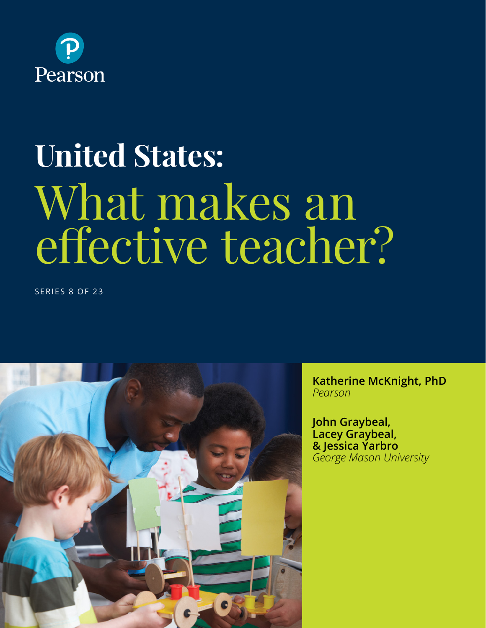

# **United States:** What makes an effective teacher?

SERIES 8 OF 23



**Katherine McKnight, PhD** *Pearson*

**John Graybeal, Lacey Graybeal, & Jessica Yarbro**  *George Mason University*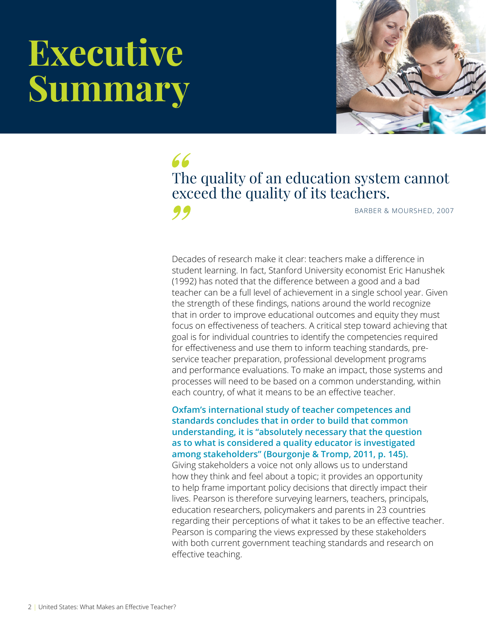# **Executive Summary**



66 The quality of an education system cannot exceed the quality of its teachers. 99

BARBER & MOURSHED, 2007

Decades of research make it clear: teachers make a difference in student learning. In fact, Stanford University economist Eric Hanushek (1992) has noted that the difference between a good and a bad teacher can be a full level of achievement in a single school year. Given the strength of these findings, nations around the world recognize that in order to improve educational outcomes and equity they must focus on effectiveness of teachers. A critical step toward achieving that goal is for individual countries to identify the competencies required for effectiveness and use them to inform teaching standards, preservice teacher preparation, professional development programs and performance evaluations. To make an impact, those systems and processes will need to be based on a common understanding, within each country, of what it means to be an effective teacher.

**Oxfam's international study of teacher competences and standards concludes that in order to build that common understanding, it is "absolutely necessary that the question as to what is considered a quality educator is investigated among stakeholders" (Bourgonje & Tromp, 2011, p. 145).**

Giving stakeholders a voice not only allows us to understand how they think and feel about a topic; it provides an opportunity to help frame important policy decisions that directly impact their lives. Pearson is therefore surveying learners, teachers, principals, education researchers, policymakers and parents in 23 countries regarding their perceptions of what it takes to be an effective teacher. Pearson is comparing the views expressed by these stakeholders with both current government teaching standards and research on effective teaching.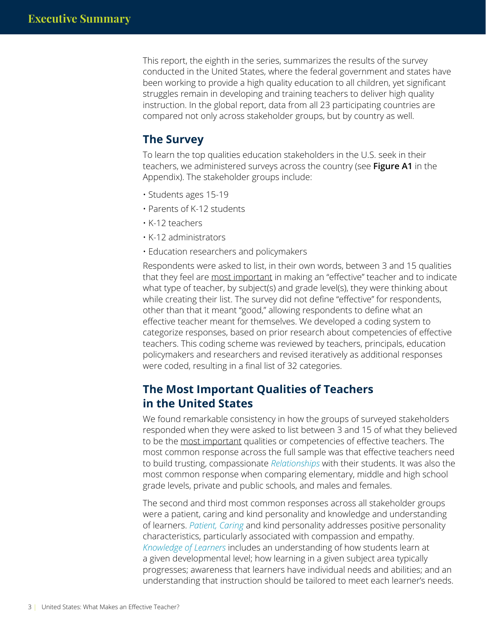This report, the eighth in the series, summarizes the results of the survey conducted in the United States, where the federal government and states have been working to provide a high quality education to all children, yet significant struggles remain in developing and training teachers to deliver high quality instruction. In the global report, data from all 23 participating countries are compared not only across stakeholder groups, but by country as well.

#### **The Survey**

To learn the top qualities education stakeholders in the U.S. seek in their teachers, we administered surveys across the country (see **Figure A1** in the Appendix). The stakeholder groups include:

- Students ages 15-19
- Parents of K-12 students
- K-12 teachers
- K-12 administrators
- Education researchers and policymakers

Respondents were asked to list, in their own words, between 3 and 15 qualities that they feel are most important in making an "effective" teacher and to indicate what type of teacher, by subject(s) and grade level(s), they were thinking about while creating their list. The survey did not define "effective" for respondents, other than that it meant "good," allowing respondents to define what an effective teacher meant for themselves. We developed a coding system to categorize responses, based on prior research about competencies of effective teachers. This coding scheme was reviewed by teachers, principals, education policymakers and researchers and revised iteratively as additional responses were coded, resulting in a final list of 32 categories.

#### **The Most Important Qualities of Teachers in the United States**

We found remarkable consistency in how the groups of surveyed stakeholders responded when they were asked to list between 3 and 15 of what they believed to be the most important qualities or competencies of effective teachers. The most common response across the full sample was that effective teachers need to build trusting, compassionate *Relationships* with their students. It was also the most common response when comparing elementary, middle and high school grade levels, private and public schools, and males and females.

The second and third most common responses across all stakeholder groups were a patient, caring and kind personality and knowledge and understanding of learners. *Patient, Caring* and kind personality addresses positive personality characteristics, particularly associated with compassion and empathy. *Knowledge of Learners* includes an understanding of how students learn at a given developmental level; how learning in a given subject area typically progresses; awareness that learners have individual needs and abilities; and an understanding that instruction should be tailored to meet each learner's needs.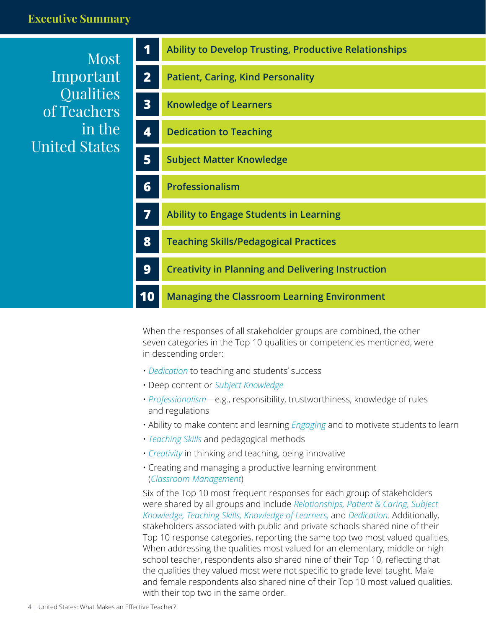#### **Executive Summary**

Most Important **Qualities** of Teachers in the United States

| 1              | <b>Ability to Develop Trusting, Productive Relationships</b> |
|----------------|--------------------------------------------------------------|
| $\overline{2}$ | <b>Patient, Caring, Kind Personality</b>                     |
| 3              | <b>Knowledge of Learners</b>                                 |
| 4              | <b>Dedication to Teaching</b>                                |
| 5 <sup>1</sup> | <b>Subject Matter Knowledge</b>                              |
| 6              | <b>Professionalism</b>                                       |
| 7              | <b>Ability to Engage Students in Learning</b>                |
| 8              | <b>Teaching Skills/Pedagogical Practices</b>                 |
| 9              | <b>Creativity in Planning and Delivering Instruction</b>     |
| 10             | <b>Managing the Classroom Learning Environment</b>           |
|                |                                                              |

When the responses of all stakeholder groups are combined, the other seven categories in the Top 10 qualities or competencies mentioned, were in descending order:

- *Dedication* to teaching and students' success
- Deep content or *Subject Knowledge*
- *Professionalism*—e.g., responsibility, trustworthiness, knowledge of rules and regulations
- Ability to make content and learning *Engaging* and to motivate students to learn
- *Teaching Skills* and pedagogical methods
- *Creativity* in thinking and teaching, being innovative
- Creating and managing a productive learning environment (*Classroom Management*)

Six of the Top 10 most frequent responses for each group of stakeholders were shared by all groups and include *Relationships, Patient & Caring, Subject Knowledge, Teaching Skills, Knowledge of Learners,* and *Dedication*. Additionally, stakeholders associated with public and private schools shared nine of their Top 10 response categories, reporting the same top two most valued qualities. When addressing the qualities most valued for an elementary, middle or high school teacher, respondents also shared nine of their Top 10, reflecting that the qualities they valued most were not specific to grade level taught. Male and female respondents also shared nine of their Top 10 most valued qualities, with their top two in the same order.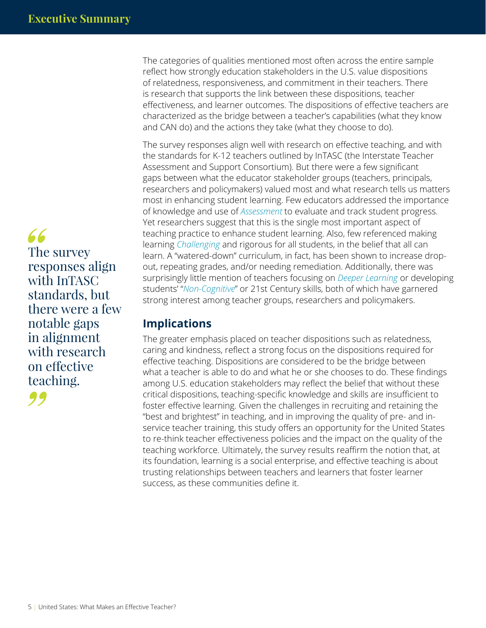The categories of qualities mentioned most often across the entire sample reflect how strongly education stakeholders in the U.S. value dispositions of relatedness, responsiveness, and commitment in their teachers. There is research that supports the link between these dispositions, teacher effectiveness, and learner outcomes. The dispositions of effective teachers are characterized as the bridge between a teacher's capabilities (what they know and CAN do) and the actions they take (what they choose to do).

The survey responses align well with research on effective teaching, and with the standards for K-12 teachers outlined by InTASC (the Interstate Teacher Assessment and Support Consortium). But there were a few significant gaps between what the educator stakeholder groups (teachers, principals, researchers and policymakers) valued most and what research tells us matters most in enhancing student learning. Few educators addressed the importance of knowledge and use of *Assessment* to evaluate and track student progress. Yet researchers suggest that this is the single most important aspect of teaching practice to enhance student learning. Also, few referenced making learning *Challenging* and rigorous for all students, in the belief that all can learn. A "watered-down" curriculum, in fact, has been shown to increase dropout, repeating grades, and/or needing remediation. Additionally, there was surprisingly little mention of teachers focusing on *Deeper Learning* or developing students' "*Non-Cognitive*" or 21st Century skills, both of which have garnered strong interest among teacher groups, researchers and policymakers.

### **Implications**

The greater emphasis placed on teacher dispositions such as relatedness, caring and kindness, reflect a strong focus on the dispositions required for effective teaching. Dispositions are considered to be the bridge between what a teacher is able to do and what he or she chooses to do. These findings among U.S. education stakeholders may reflect the belief that without these critical dispositions, teaching-specific knowledge and skills are insufficient to foster effective learning. Given the challenges in recruiting and retaining the "best and brightest" in teaching, and in improving the quality of pre- and inservice teacher training, this study offers an opportunity for the United States to re-think teacher effectiveness policies and the impact on the quality of the teaching workforce. Ultimately, the survey results reaffirm the notion that, at its foundation, learning is a social enterprise, and effective teaching is about trusting relationships between teachers and learners that foster learner success, as these communities define it.

66 The survey responses align with InTASC standards, but there were a few notable gaps in alignment with research on effective teaching.